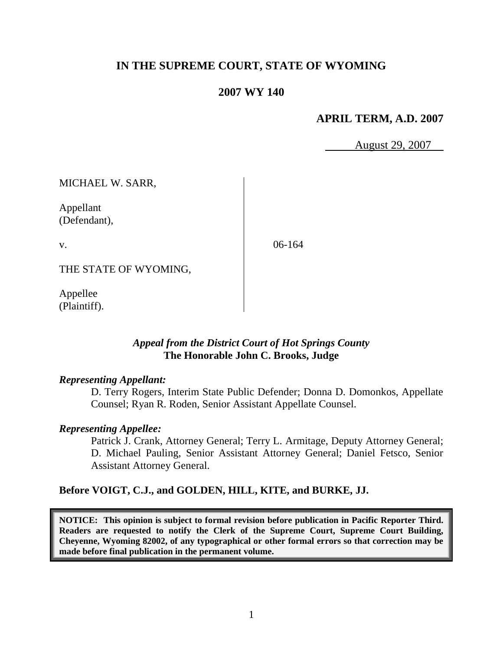# **IN THE SUPREME COURT, STATE OF WYOMING**

## **2007 WY 140**

# **APRIL TERM, A.D. 2007**

August 29, 2007

MICHAEL W. SARR,

Appellant (Defendant),

v.

06-164

THE STATE OF WYOMING,

Appellee (Plaintiff).

## *Appeal from the District Court of Hot Springs County* **The Honorable John C. Brooks, Judge**

#### *Representing Appellant:*

D. Terry Rogers, Interim State Public Defender; Donna D. Domonkos, Appellate Counsel; Ryan R. Roden, Senior Assistant Appellate Counsel.

### *Representing Appellee:*

Patrick J. Crank, Attorney General; Terry L. Armitage, Deputy Attorney General; D. Michael Pauling, Senior Assistant Attorney General; Daniel Fetsco, Senior Assistant Attorney General.

### **Before VOIGT, C.J., and GOLDEN, HILL, KITE, and BURKE, JJ.**

**NOTICE: This opinion is subject to formal revision before publication in Pacific Reporter Third. Readers are requested to notify the Clerk of the Supreme Court, Supreme Court Building, Cheyenne, Wyoming 82002, of any typographical or other formal errors so that correction may be made before final publication in the permanent volume.**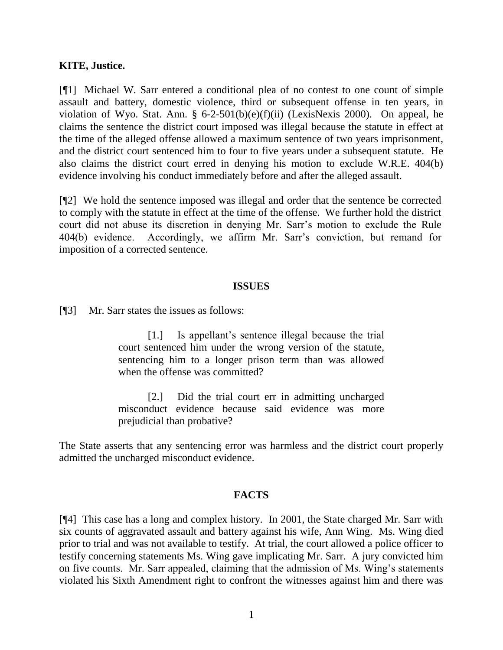### **KITE, Justice.**

[¶1] Michael W. Sarr entered a conditional plea of no contest to one count of simple assault and battery, domestic violence, third or subsequent offense in ten years, in violation of Wyo. Stat. Ann. § 6-2-501(b)(e)(f)(ii) (LexisNexis 2000). On appeal, he claims the sentence the district court imposed was illegal because the statute in effect at the time of the alleged offense allowed a maximum sentence of two years imprisonment, and the district court sentenced him to four to five years under a subsequent statute. He also claims the district court erred in denying his motion to exclude W.R.E. 404(b) evidence involving his conduct immediately before and after the alleged assault.

[¶2] We hold the sentence imposed was illegal and order that the sentence be corrected to comply with the statute in effect at the time of the offense. We further hold the district court did not abuse its discretion in denying Mr. Sarr's motion to exclude the Rule 404(b) evidence. Accordingly, we affirm Mr. Sarr's conviction, but remand for imposition of a corrected sentence.

#### **ISSUES**

[¶3] Mr. Sarr states the issues as follows:

[1.] Is appellant's sentence illegal because the trial court sentenced him under the wrong version of the statute, sentencing him to a longer prison term than was allowed when the offense was committed?

[2.] Did the trial court err in admitting uncharged misconduct evidence because said evidence was more prejudicial than probative?

The State asserts that any sentencing error was harmless and the district court properly admitted the uncharged misconduct evidence.

#### **FACTS**

[¶4] This case has a long and complex history. In 2001, the State charged Mr. Sarr with six counts of aggravated assault and battery against his wife, Ann Wing. Ms. Wing died prior to trial and was not available to testify. At trial, the court allowed a police officer to testify concerning statements Ms. Wing gave implicating Mr. Sarr. A jury convicted him on five counts. Mr. Sarr appealed, claiming that the admission of Ms. Wing's statements violated his Sixth Amendment right to confront the witnesses against him and there was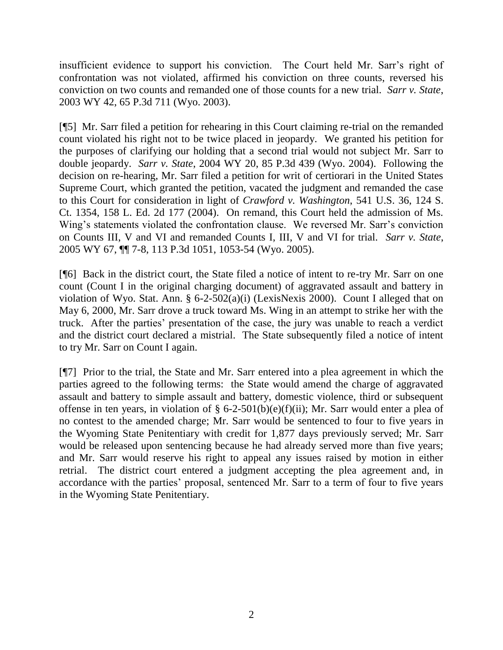insufficient evidence to support his conviction. The Court held Mr. Sarr's right of confrontation was not violated, affirmed his conviction on three counts, reversed his conviction on two counts and remanded one of those counts for a new trial. *Sarr v. State*, 2003 WY 42, 65 P.3d 711 (Wyo. 2003).

[¶5] Mr. Sarr filed a petition for rehearing in this Court claiming re-trial on the remanded count violated his right not to be twice placed in jeopardy. We granted his petition for the purposes of clarifying our holding that a second trial would not subject Mr. Sarr to double jeopardy. *Sarr v. State*, 2004 WY 20, 85 P.3d 439 (Wyo. 2004). Following the decision on re-hearing, Mr. Sarr filed a petition for writ of certiorari in the United States Supreme Court, which granted the petition, vacated the judgment and remanded the case to this Court for consideration in light of *Crawford v. Washington*, 541 U.S. 36, 124 S. Ct. 1354, 158 L. Ed. 2d 177 (2004). On remand, this Court held the admission of Ms. Wing's statements violated the confrontation clause. We reversed Mr. Sarr's conviction on Counts III, V and VI and remanded Counts I, III, V and VI for trial. *Sarr v. State*, 2005 WY 67, ¶¶ 7-8, 113 P.3d 1051, 1053-54 (Wyo. 2005).

[¶6] Back in the district court, the State filed a notice of intent to re-try Mr. Sarr on one count (Count I in the original charging document) of aggravated assault and battery in violation of Wyo. Stat. Ann. § 6-2-502(a)(i) (LexisNexis 2000). Count I alleged that on May 6, 2000, Mr. Sarr drove a truck toward Ms. Wing in an attempt to strike her with the truck. After the parties' presentation of the case, the jury was unable to reach a verdict and the district court declared a mistrial. The State subsequently filed a notice of intent to try Mr. Sarr on Count I again.

[¶7] Prior to the trial, the State and Mr. Sarr entered into a plea agreement in which the parties agreed to the following terms: the State would amend the charge of aggravated assault and battery to simple assault and battery, domestic violence, third or subsequent offense in ten years, in violation of § 6-2-501(b)(e)(f)(ii); Mr. Sarr would enter a plea of no contest to the amended charge; Mr. Sarr would be sentenced to four to five years in the Wyoming State Penitentiary with credit for 1,877 days previously served; Mr. Sarr would be released upon sentencing because he had already served more than five years; and Mr. Sarr would reserve his right to appeal any issues raised by motion in either retrial. The district court entered a judgment accepting the plea agreement and, in accordance with the parties' proposal, sentenced Mr. Sarr to a term of four to five years in the Wyoming State Penitentiary.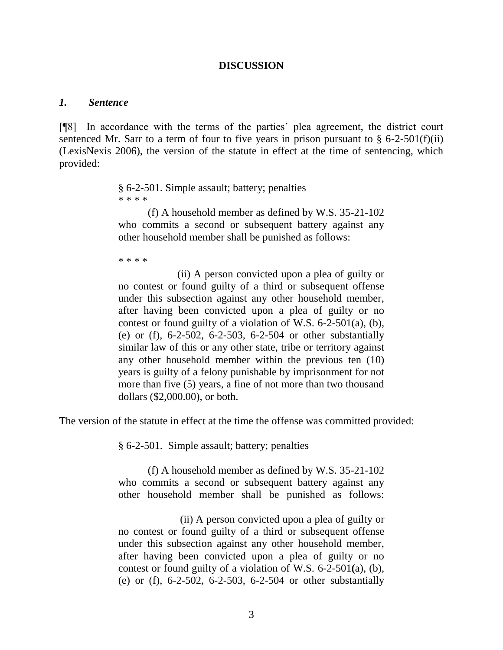### **DISCUSSION**

#### *1. Sentence*

[¶8] In accordance with the terms of the parties' plea agreement, the district court sentenced Mr. Sarr to a term of four to five years in prison pursuant to  $\S$  6-2-501(f)(ii) (LexisNexis 2006), the version of the statute in effect at the time of sentencing, which provided:

> § 6-2-501. Simple assault; battery; penalties \* \* \* \*

(f) A household member as defined by W.S. 35-21-102 who commits a second or subsequent battery against any other household member shall be punished as follows:

\* \* \* \*

(ii) A person convicted upon a plea of guilty or no contest or found guilty of a third or subsequent offense under this subsection against any other household member, after having been convicted upon a plea of guilty or no contest or found guilty of a violation of W.S. 6-2-501(a), (b), (e) or (f), 6-2-502, 6-2-503, 6-2-504 or other substantially similar law of this or any other state, tribe or territory against any other household member within the previous ten (10) years is guilty of a felony punishable by imprisonment for not more than five (5) years, a fine of not more than two thousand dollars (\$2,000.00), or both.

The version of the statute in effect at the time the offense was committed provided:

§ 6-2-501. Simple assault; battery; penalties

(f) A household member as defined by W.S. 35-21-102 who commits a second or subsequent battery against any other household member shall be punished as follows:

 (ii) A person convicted upon a plea of guilty or no contest or found guilty of a third or subsequent offense under this subsection against any other household member, after having been convicted upon a plea of guilty or no contest or found guilty of a violation of W.S. 6-2-501**(**a), (b), (e) or (f), 6-2-502, 6-2-503, 6-2-504 or other substantially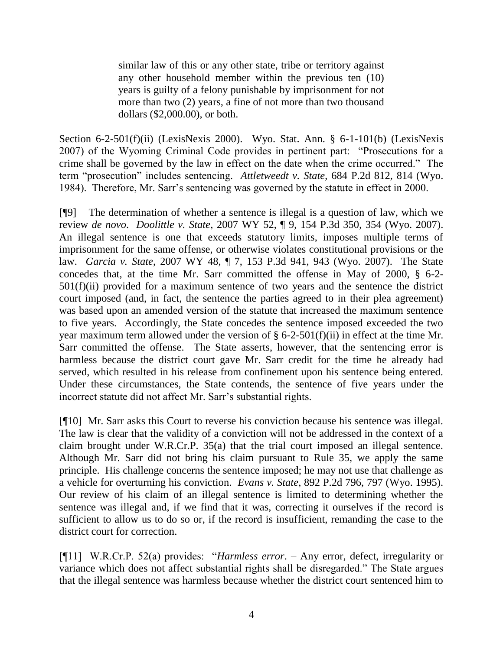similar law of this or any other state, tribe or territory against any other household member within the previous ten (10) years is guilty of a felony punishable by imprisonment for not more than two (2) years, a fine of not more than two thousand dollars (\$2,000.00), or both.

Section 6-2-501(f)(ii) (LexisNexis 2000). Wyo. Stat. Ann. § 6-1-101(b) (LexisNexis 2007) of the Wyoming Criminal Code provides in pertinent part: "Prosecutions for a crime shall be governed by the law in effect on the date when the crime occurred." The term "prosecution" includes sentencing. *Attletweedt v. State*, 684 P.2d 812, 814 (Wyo. 1984). Therefore, Mr. Sarr's sentencing was governed by the statute in effect in 2000.

[¶9] The determination of whether a sentence is illegal is a question of law, which we review *de novo*. *Doolittle v. State*, 2007 WY 52, ¶ 9, 154 P.3d 350, 354 (Wyo. 2007). An illegal sentence is one that exceeds statutory limits, imposes multiple terms of imprisonment for the same offense, or otherwise violates constitutional provisions or the law. *Garcia v. State*, 2007 WY 48, ¶ 7, 153 P.3d 941, 943 (Wyo. 2007). The State concedes that, at the time Mr. Sarr committed the offense in May of 2000, § 6-2-  $501(f)(ii)$  provided for a maximum sentence of two years and the sentence the district court imposed (and, in fact, the sentence the parties agreed to in their plea agreement) was based upon an amended version of the statute that increased the maximum sentence to five years. Accordingly, the State concedes the sentence imposed exceeded the two year maximum term allowed under the version of § 6-2-501(f)(ii) in effect at the time Mr. Sarr committed the offense. The State asserts, however, that the sentencing error is harmless because the district court gave Mr. Sarr credit for the time he already had served, which resulted in his release from confinement upon his sentence being entered. Under these circumstances, the State contends, the sentence of five years under the incorrect statute did not affect Mr. Sarr's substantial rights.

[¶10] Mr. Sarr asks this Court to reverse his conviction because his sentence was illegal. The law is clear that the validity of a conviction will not be addressed in the context of a claim brought under W.R.Cr.P. 35(a) that the trial court imposed an illegal sentence. Although Mr. Sarr did not bring his claim pursuant to Rule 35, we apply the same principle. His challenge concerns the sentence imposed; he may not use that challenge as a vehicle for overturning his conviction. *Evans v. State*, 892 P.2d 796, 797 (Wyo. 1995). Our review of his claim of an illegal sentence is limited to determining whether the sentence was illegal and, if we find that it was, correcting it ourselves if the record is sufficient to allow us to do so or, if the record is insufficient, remanding the case to the district court for correction.

[¶11] W.R.Cr.P. 52(a) provides: "*Harmless error*. – Any error, defect, irregularity or variance which does not affect substantial rights shall be disregarded." The State argues that the illegal sentence was harmless because whether the district court sentenced him to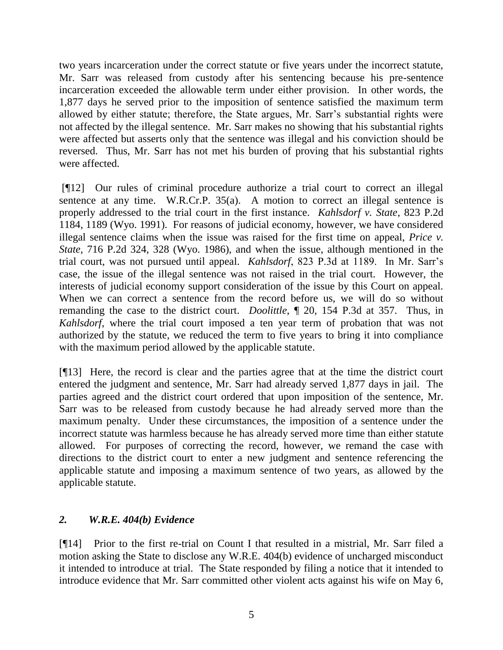two years incarceration under the correct statute or five years under the incorrect statute, Mr. Sarr was released from custody after his sentencing because his pre-sentence incarceration exceeded the allowable term under either provision. In other words, the 1,877 days he served prior to the imposition of sentence satisfied the maximum term allowed by either statute; therefore, the State argues, Mr. Sarr's substantial rights were not affected by the illegal sentence. Mr. Sarr makes no showing that his substantial rights were affected but asserts only that the sentence was illegal and his conviction should be reversed. Thus, Mr. Sarr has not met his burden of proving that his substantial rights were affected.

[¶12] Our rules of criminal procedure authorize a trial court to correct an illegal sentence at any time. W.R.Cr.P. 35(a). A motion to correct an illegal sentence is properly addressed to the trial court in the first instance. *Kahlsdorf v. State*, 823 P.2d 1184, 1189 (Wyo. 1991). For reasons of judicial economy, however, we have considered illegal sentence claims when the issue was raised for the first time on appeal, *Price v. State*, 716 P.2d 324, 328 (Wyo. 1986), and when the issue, although mentioned in the trial court, was not pursued until appeal. *Kahlsdorf*, 823 P.3d at 1189. In Mr. Sarr's case, the issue of the illegal sentence was not raised in the trial court. However, the interests of judicial economy support consideration of the issue by this Court on appeal. When we can correct a sentence from the record before us, we will do so without remanding the case to the district court. *Doolittle*, ¶ 20, 154 P.3d at 357. Thus, in *Kahlsdorf*, where the trial court imposed a ten year term of probation that was not authorized by the statute, we reduced the term to five years to bring it into compliance with the maximum period allowed by the applicable statute.

[¶13] Here, the record is clear and the parties agree that at the time the district court entered the judgment and sentence, Mr. Sarr had already served 1,877 days in jail. The parties agreed and the district court ordered that upon imposition of the sentence, Mr. Sarr was to be released from custody because he had already served more than the maximum penalty. Under these circumstances, the imposition of a sentence under the incorrect statute was harmless because he has already served more time than either statute allowed. For purposes of correcting the record, however, we remand the case with directions to the district court to enter a new judgment and sentence referencing the applicable statute and imposing a maximum sentence of two years, as allowed by the applicable statute.

# *2. W.R.E. 404(b) Evidence*

[¶14] Prior to the first re-trial on Count I that resulted in a mistrial, Mr. Sarr filed a motion asking the State to disclose any W.R.E. 404(b) evidence of uncharged misconduct it intended to introduce at trial. The State responded by filing a notice that it intended to introduce evidence that Mr. Sarr committed other violent acts against his wife on May 6,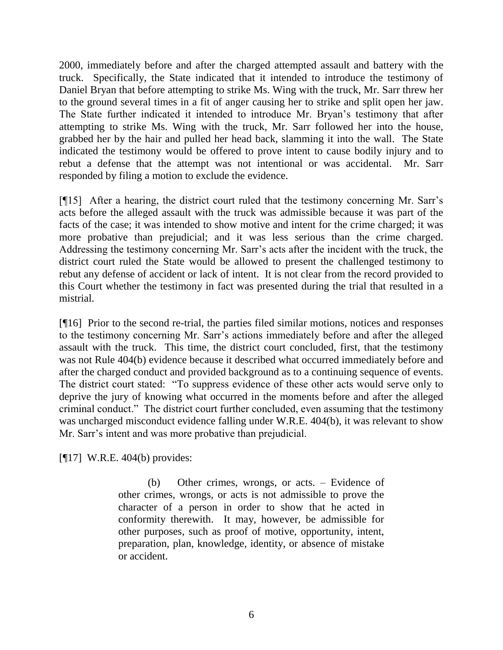2000, immediately before and after the charged attempted assault and battery with the truck. Specifically, the State indicated that it intended to introduce the testimony of Daniel Bryan that before attempting to strike Ms. Wing with the truck, Mr. Sarr threw her to the ground several times in a fit of anger causing her to strike and split open her jaw. The State further indicated it intended to introduce Mr. Bryan's testimony that after attempting to strike Ms. Wing with the truck, Mr. Sarr followed her into the house, grabbed her by the hair and pulled her head back, slamming it into the wall. The State indicated the testimony would be offered to prove intent to cause bodily injury and to rebut a defense that the attempt was not intentional or was accidental. Mr. Sarr responded by filing a motion to exclude the evidence.

[¶15] After a hearing, the district court ruled that the testimony concerning Mr. Sarr's acts before the alleged assault with the truck was admissible because it was part of the facts of the case; it was intended to show motive and intent for the crime charged; it was more probative than prejudicial; and it was less serious than the crime charged. Addressing the testimony concerning Mr. Sarr's acts after the incident with the truck, the district court ruled the State would be allowed to present the challenged testimony to rebut any defense of accident or lack of intent. It is not clear from the record provided to this Court whether the testimony in fact was presented during the trial that resulted in a mistrial.

[¶16] Prior to the second re-trial, the parties filed similar motions, notices and responses to the testimony concerning Mr. Sarr's actions immediately before and after the alleged assault with the truck. This time, the district court concluded, first, that the testimony was not Rule 404(b) evidence because it described what occurred immediately before and after the charged conduct and provided background as to a continuing sequence of events. The district court stated: "To suppress evidence of these other acts would serve only to deprive the jury of knowing what occurred in the moments before and after the alleged criminal conduct." The district court further concluded, even assuming that the testimony was uncharged misconduct evidence falling under W.R.E. 404(b), it was relevant to show Mr. Sarr's intent and was more probative than prejudicial.

[¶17] W.R.E. 404(b) provides:

(b) Other crimes, wrongs, or acts. – Evidence of other crimes, wrongs, or acts is not admissible to prove the character of a person in order to show that he acted in conformity therewith. It may, however, be admissible for other purposes, such as proof of motive, opportunity, intent, preparation, plan, knowledge, identity, or absence of mistake or accident.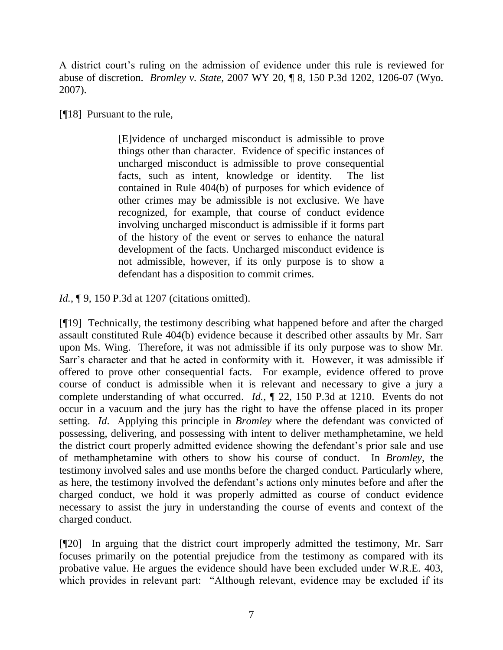A district court's ruling on the admission of evidence under this rule is reviewed for abuse of discretion. *Bromley v. State*, 2007 WY 20, ¶ 8, 150 P.3d 1202, 1206-07 (Wyo. 2007).

[¶18] Pursuant to the rule,

[E]vidence of uncharged misconduct is admissible to prove things other than character. Evidence of specific instances of uncharged misconduct is admissible to prove consequential facts, such as intent, knowledge or identity. The list contained in Rule 404(b) of purposes for which evidence of other crimes may be admissible is not exclusive. We have recognized, for example, that course of conduct evidence involving uncharged misconduct is admissible if it forms part of the history of the event or serves to enhance the natural development of the facts. Uncharged misconduct evidence is not admissible, however, if its only purpose is to show a defendant has a disposition to commit crimes.

*Id.*, **[9.** 150 P.3d at 1207 (citations omitted).

[¶19] Technically, the testimony describing what happened before and after the charged assault constituted Rule 404(b) evidence because it described other assaults by Mr. Sarr upon Ms. Wing. Therefore, it was not admissible if its only purpose was to show Mr. Sarr's character and that he acted in conformity with it. However, it was admissible if offered to prove other consequential facts. For example, evidence offered to prove course of conduct is admissible when it is relevant and necessary to give a jury a complete understanding of what occurred. *Id.*, ¶ 22, 150 P.3d at 1210. Events do not occur in a vacuum and the jury has the right to have the offense placed in its proper setting. *Id*. Applying this principle in *Bromley* where the defendant was convicted of possessing, delivering, and possessing with intent to deliver methamphetamine, we held the district court properly admitted evidence showing the defendant's prior sale and use of methamphetamine with others to show his course of conduct. In *Bromley*, the testimony involved sales and use months before the charged conduct. Particularly where, as here, the testimony involved the defendant's actions only minutes before and after the charged conduct, we hold it was properly admitted as course of conduct evidence necessary to assist the jury in understanding the course of events and context of the charged conduct.

[¶20] In arguing that the district court improperly admitted the testimony, Mr. Sarr focuses primarily on the potential prejudice from the testimony as compared with its probative value. He argues the evidence should have been excluded under W.R.E. 403, which provides in relevant part: "Although relevant, evidence may be excluded if its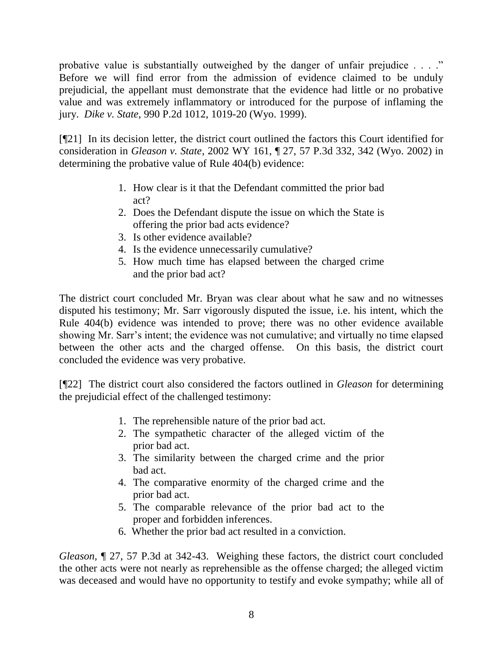probative value is substantially outweighed by the danger of unfair prejudice . . . ." Before we will find error from the admission of evidence claimed to be unduly prejudicial, the appellant must demonstrate that the evidence had little or no probative value and was extremely inflammatory or introduced for the purpose of inflaming the jury. *Dike v. State*, 990 P.2d 1012, 1019-20 (Wyo. 1999).

[¶21] In its decision letter, the district court outlined the factors this Court identified for consideration in *Gleason v. State*, 2002 WY 161, ¶ 27, 57 P.3d 332, 342 (Wyo. 2002) in determining the probative value of Rule 404(b) evidence:

- 1. How clear is it that the Defendant committed the prior bad act?
- 2. Does the Defendant dispute the issue on which the State is offering the prior bad acts evidence?
- 3. Is other evidence available?
- 4. Is the evidence unnecessarily cumulative?
- 5. How much time has elapsed between the charged crime and the prior bad act?

The district court concluded Mr. Bryan was clear about what he saw and no witnesses disputed his testimony; Mr. Sarr vigorously disputed the issue, i.e. his intent, which the Rule 404(b) evidence was intended to prove; there was no other evidence available showing Mr. Sarr's intent; the evidence was not cumulative; and virtually no time elapsed between the other acts and the charged offense. On this basis, the district court concluded the evidence was very probative.

[¶22] The district court also considered the factors outlined in *Gleason* for determining the prejudicial effect of the challenged testimony:

- 1. The reprehensible nature of the prior bad act.
- 2. The sympathetic character of the alleged victim of the prior bad act.
- 3. The similarity between the charged crime and the prior bad act.
- 4. The comparative enormity of the charged crime and the prior bad act.
- 5. The comparable relevance of the prior bad act to the proper and forbidden inferences.
- 6. Whether the prior bad act resulted in a conviction.

*Gleason,* ¶ 27, 57 P.3d at 342-43. Weighing these factors, the district court concluded the other acts were not nearly as reprehensible as the offense charged; the alleged victim was deceased and would have no opportunity to testify and evoke sympathy; while all of